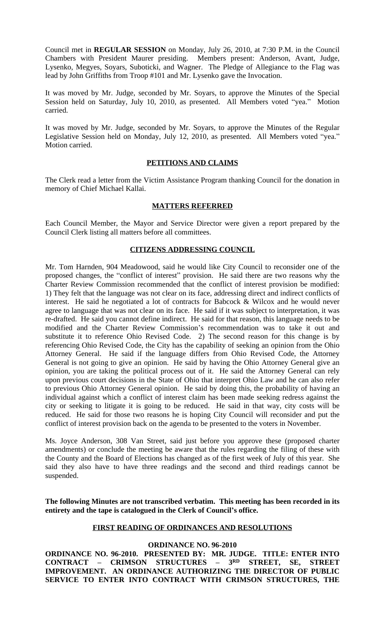Council met in **REGULAR SESSION** on Monday, July 26, 2010, at 7:30 P.M. in the Council Chambers with President Maurer presiding. Members present: Anderson, Avant, Judge, Lysenko, Megyes, Soyars, Suboticki, and Wagner. The Pledge of Allegiance to the Flag was lead by John Griffiths from Troop #101 and Mr. Lysenko gave the Invocation.

It was moved by Mr. Judge, seconded by Mr. Soyars, to approve the Minutes of the Special Session held on Saturday, July 10, 2010, as presented. All Members voted "yea." Motion carried.

It was moved by Mr. Judge, seconded by Mr. Soyars, to approve the Minutes of the Regular Legislative Session held on Monday, July 12, 2010, as presented. All Members voted "yea." Motion carried.

## **PETITIONS AND CLAIMS**

The Clerk read a letter from the Victim Assistance Program thanking Council for the donation in memory of Chief Michael Kallai.

## **MATTERS REFERRED**

Each Council Member, the Mayor and Service Director were given a report prepared by the Council Clerk listing all matters before all committees.

## **CITIZENS ADDRESSING COUNCIL**

Mr. Tom Harnden, 904 Meadowood, said he would like City Council to reconsider one of the proposed changes, the "conflict of interest" provision. He said there are two reasons why the Charter Review Commission recommended that the conflict of interest provision be modified: 1) They felt that the language was not clear on its face, addressing direct and indirect conflicts of interest. He said he negotiated a lot of contracts for Babcock & Wilcox and he would never agree to language that was not clear on its face. He said if it was subject to interpretation, it was re-drafted. He said you cannot define indirect. He said for that reason, this language needs to be modified and the Charter Review Commission's recommendation was to take it out and substitute it to reference Ohio Revised Code. 2) The second reason for this change is by referencing Ohio Revised Code, the City has the capability of seeking an opinion from the Ohio Attorney General. He said if the language differs from Ohio Revised Code, the Attorney General is not going to give an opinion. He said by having the Ohio Attorney General give an opinion, you are taking the political process out of it. He said the Attorney General can rely upon previous court decisions in the State of Ohio that interpret Ohio Law and he can also refer to previous Ohio Attorney General opinion. He said by doing this, the probability of having an individual against which a conflict of interest claim has been made seeking redress against the city or seeking to litigate it is going to be reduced. He said in that way, city costs will be reduced. He said for those two reasons he is hoping City Council will reconsider and put the conflict of interest provision back on the agenda to be presented to the voters in November.

Ms. Joyce Anderson, 308 Van Street, said just before you approve these (proposed charter amendments) or conclude the meeting be aware that the rules regarding the filing of these with the County and the Board of Elections has changed as of the first week of July of this year. She said they also have to have three readings and the second and third readings cannot be suspended.

**The following Minutes are not transcribed verbatim. This meeting has been recorded in its entirety and the tape is catalogued in the Clerk of Council's office.**

## **FIRST READING OF ORDINANCES AND RESOLUTIONS**

# **ORDINANCE NO. 96-2010**

**ORDINANCE NO. 96-2010. PRESENTED BY: MR. JUDGE. TITLE: ENTER INTO CONTRACT – CRIMSON STRUCTURES – 3 RD STREET, SE, STREET IMPROVEMENT. AN ORDINANCE AUTHORIZING THE DIRECTOR OF PUBLIC SERVICE TO ENTER INTO CONTRACT WITH CRIMSON STRUCTURES, THE**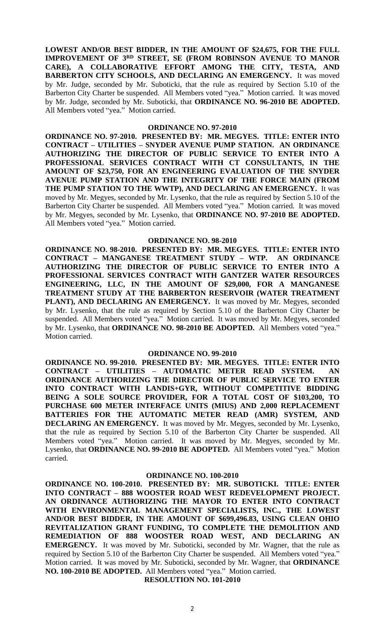**LOWEST AND/OR BEST BIDDER, IN THE AMOUNT OF \$24,675, FOR THE FULL IMPROVEMENT OF 3 RD STREET, SE (FROM ROBINSON AVENUE TO MANOR CARE), A COLLABORATIVE EFFORT AMONG THE CITY, TESTA, AND BARBERTON CITY SCHOOLS, AND DECLARING AN EMERGENCY.** It was moved by Mr. Judge, seconded by Mr. Suboticki, that the rule as required by Section 5.10 of the Barberton City Charter be suspended. All Members voted "yea." Motion carried. It was moved by Mr. Judge, seconded by Mr. Suboticki, that **ORDINANCE NO. 96-2010 BE ADOPTED.** All Members voted "yea." Motion carried.

### **ORDINANCE NO. 97-2010**

**ORDINANCE NO. 97-2010. PRESENTED BY: MR. MEGYES. TITLE: ENTER INTO CONTRACT – UTILITIES – SNYDER AVENUE PUMP STATION. AN ORDINANCE AUTHORIZING THE DIRECTOR OF PUBLIC SERVICE TO ENTER INTO A PROFESSIONAL SERVICES CONTRACT WITH CT CONSULTANTS, IN THE AMOUNT OF \$23,750, FOR AN ENGINEERING EVALUATION OF THE SNYDER AVENUE PUMP STATION AND THE INTEGRITY OF THE FORCE MAIN (FROM THE PUMP STATION TO THE WWTP), AND DECLARING AN EMERGENCY.** It was moved by Mr. Megyes, seconded by Mr. Lysenko, that the rule as required by Section 5.10 of the Barberton City Charter be suspended. All Members voted "yea." Motion carried. It was moved by Mr. Megyes, seconded by Mr. Lysenko, that **ORDINANCE NO. 97-2010 BE ADOPTED.** All Members voted "yea." Motion carried.

#### **ORDINANCE NO. 98-2010**

**ORDINANCE NO. 98-2010. PRESENTED BY: MR. MEGYES. TITLE: ENTER INTO CONTRACT – MANGANESE TREATMENT STUDY – WTP. AN ORDINANCE AUTHORIZING THE DIRECTOR OF PUBLIC SERVICE TO ENTER INTO A PROFESSIONAL SERVICES CONTRACT WITH GANTZER WATER RESOURCES ENGINEERING, LLC, IN THE AMOUNT OF \$29,000, FOR A MANGANESE TREATMENT STUDY AT THE BARBERTON RESERVOIR (WATER TREATMENT PLANT), AND DECLARING AN EMERGENCY.** It was moved by Mr. Megyes, seconded by Mr. Lysenko, that the rule as required by Section 5.10 of the Barberton City Charter be suspended. All Members voted "yea." Motion carried. It was moved by Mr. Megyes, seconded by Mr. Lysenko, that **ORDINANCE NO. 98-2010 BE ADOPTED.** All Members voted "yea." Motion carried.

### **ORDINANCE NO. 99-2010**

**ORDINANCE NO. 99-2010. PRESENTED BY: MR. MEGYES. TITLE: ENTER INTO CONTRACT – UTILITIES – AUTOMATIC METER READ SYSTEM. AN ORDINANCE AUTHORIZING THE DIRECTOR OF PUBLIC SERVICE TO ENTER INTO CONTRACT WITH LANDIS+GYR, WITHOUT COMPETITIVE BIDDING BEING A SOLE SOURCE PROVIDER, FOR A TOTAL COST OF \$103,200, TO PURCHASE 600 METER INTERFACE UNITS (MIUS) AND 2,000 REPLACEMENT BATTERIES FOR THE AUTOMATIC METER READ (AMR) SYSTEM, AND DECLARING AN EMERGENCY.** It was moved by Mr. Megyes, seconded by Mr. Lysenko, that the rule as required by Section 5.10 of the Barberton City Charter be suspended. All Members voted "yea." Motion carried. It was moved by Mr. Megyes, seconded by Mr. Lysenko, that **ORDINANCE NO. 99-2010 BE ADOPTED.** All Members voted "yea." Motion carried.

#### **ORDINANCE NO. 100-2010**

**ORDINANCE NO. 100-2010. PRESENTED BY: MR. SUBOTICKI. TITLE: ENTER INTO CONTRACT – 888 WOOSTER ROAD WEST REDEVELOPMENT PROJECT. AN ORDINANCE AUTHORIZING THE MAYOR TO ENTER INTO CONTRACT WITH ENVIRONMENTAL MANAGEMENT SPECIALISTS, INC., THE LOWEST AND/OR BEST BIDDER, IN THE AMOUNT OF \$699,496.83, USING CLEAN OHIO REVITALIZATION GRANT FUNDING, TO COMPLETE THE DEMOLITION AND REMEDIATION OF 888 WOOSTER ROAD WEST, AND DECLARING AN EMERGENCY.** It was moved by Mr. Suboticki, seconded by Mr. Wagner, that the rule as required by Section 5.10 of the Barberton City Charter be suspended. All Members voted "yea." Motion carried. It was moved by Mr. Suboticki, seconded by Mr. Wagner, that **ORDINANCE NO. 100-2010 BE ADOPTED.** All Members voted "yea." Motion carried.

**RESOLUTION NO. 101-2010**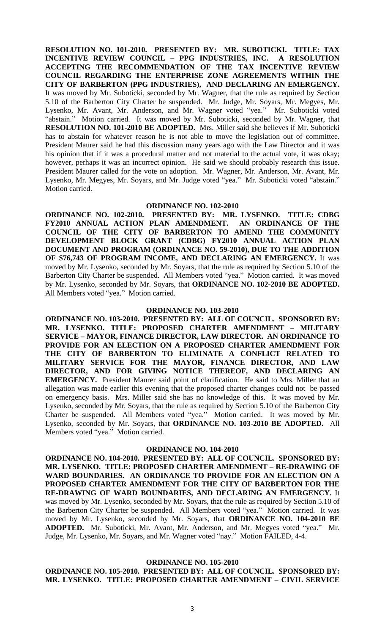**RESOLUTION NO. 101-2010. PRESENTED BY: MR. SUBOTICKI. TITLE: TAX INCENTIVE REVIEW COUNCIL – PPG INDUSTRIES, INC. A RESOLUTION ACCEPTING THE RECOMMENDATION OF THE TAX INCENTIVE REVIEW COUNCIL REGARDING THE ENTERPRISE ZONE AGREEMENTS WITHIN THE CITY OF BARBERTON (PPG INDUSTRIES), AND DECLARING AN EMERGENCY.** It was moved by Mr. Suboticki, seconded by Mr. Wagner, that the rule as required by Section 5.10 of the Barberton City Charter be suspended. Mr. Judge, Mr. Soyars, Mr. Megyes, Mr. Lysenko, Mr. Avant, Mr. Anderson, and Mr. Wagner voted "yea." Mr. Suboticki voted "abstain." Motion carried. It was moved by Mr. Suboticki, seconded by Mr. Wagner, that **RESOLUTION NO. 101-2010 BE ADOPTED.** Mrs. Miller said she believes if Mr. Suboticki has to abstain for whatever reason he is not able to move the legislation out of committee. President Maurer said he had this discussion many years ago with the Law Director and it was his opinion that if it was a procedural matter and not material to the actual vote, it was okay; however, perhaps it was an incorrect opinion. He said we should probably research this issue. President Maurer called for the vote on adoption. Mr. Wagner, Mr. Anderson, Mr. Avant, Mr. Lysenko, Mr. Megyes, Mr. Soyars, and Mr. Judge voted "yea." Mr. Suboticki voted "abstain." Motion carried.

#### **ORDINANCE NO. 102-2010**

**ORDINANCE NO. 102-2010. PRESENTED BY: MR. LYSENKO. TITLE: CDBG FY2010 ANNUAL ACTION PLAN AMENDMENT. AN ORDINANCE OF THE COUNCIL OF THE CITY OF BARBERTON TO AMEND THE COMMUNITY DEVELOPMENT BLOCK GRANT (CDBG) FY2010 ANNUAL ACTION PLAN DOCUMENT AND PROGRAM (ORDINANCE NO. 59-2010), DUE TO THE ADDITION OF \$76,743 OF PROGRAM INCOME, AND DECLARING AN EMERGENCY.** It was moved by Mr. Lysenko, seconded by Mr. Soyars, that the rule as required by Section 5.10 of the Barberton City Charter be suspended. All Members voted "yea." Motion carried. It was moved by Mr. Lysenko, seconded by Mr. Soyars, that **ORDINANCE NO. 102-2010 BE ADOPTED.** All Members voted "yea." Motion carried.

## **ORDINANCE NO. 103-2010**

**ORDINANCE NO. 103-2010. PRESENTED BY: ALL OF COUNCIL. SPONSORED BY: MR. LYSENKO. TITLE: PROPOSED CHARTER AMENDMENT – MILITARY SERVICE – MAYOR, FINANCE DIRECTOR, LAW DIRECTOR. AN ORDINANCE TO PROVIDE FOR AN ELECTION ON A PROPOSED CHARTER AMENDMENT FOR THE CITY OF BARBERTON TO ELIMINATE A CONFLICT RELATED TO MILITARY SERVICE FOR THE MAYOR, FINANCE DIRECTOR, AND LAW DIRECTOR, AND FOR GIVING NOTICE THEREOF, AND DECLARING AN EMERGENCY.** President Maurer said point of clarification. He said to Mrs. Miller that an allegation was made earlier this evening that the proposed charter changes could not be passed on emergency basis. Mrs. Miller said she has no knowledge of this. It was moved by Mr. Lysenko, seconded by Mr. Soyars, that the rule as required by Section 5.10 of the Barberton City Charter be suspended. All Members voted "yea." Motion carried. It was moved by Mr. Lysenko, seconded by Mr. Soyars, that **ORDINANCE NO. 103-2010 BE ADOPTED.** All Members voted "yea." Motion carried.

### **ORDINANCE NO. 104-2010**

**ORDINANCE NO. 104-2010. PRESENTED BY: ALL OF COUNCIL. SPONSORED BY: MR. LYSENKO. TITLE: PROPOSED CHARTER AMENDMENT – RE-DRAWING OF WARD BOUNDARIES. AN ORDINANCE TO PROVIDE FOR AN ELECTION ON A PROPOSED CHARTER AMENDMENT FOR THE CITY OF BARBERTON FOR THE RE-DRAWING OF WARD BOUNDARIES, AND DECLARING AN EMERGENCY.** It was moved by Mr. Lysenko, seconded by Mr. Soyars, that the rule as required by Section 5.10 of the Barberton City Charter be suspended. All Members voted "yea." Motion carried. It was moved by Mr. Lysenko, seconded by Mr. Soyars, that **ORDINANCE NO. 104-2010 BE ADOPTED.** Mr. Suboticki, Mr. Avant, Mr. Anderson, and Mr. Megyes voted "yea." Mr. Judge, Mr. Lysenko, Mr. Soyars, and Mr. Wagner voted "nay." Motion FAILED, 4-4.

#### **ORDINANCE NO. 105-2010**

**ORDINANCE NO. 105-2010. PRESENTED BY: ALL OF COUNCIL. SPONSORED BY: MR. LYSENKO. TITLE: PROPOSED CHARTER AMENDMENT – CIVIL SERVICE**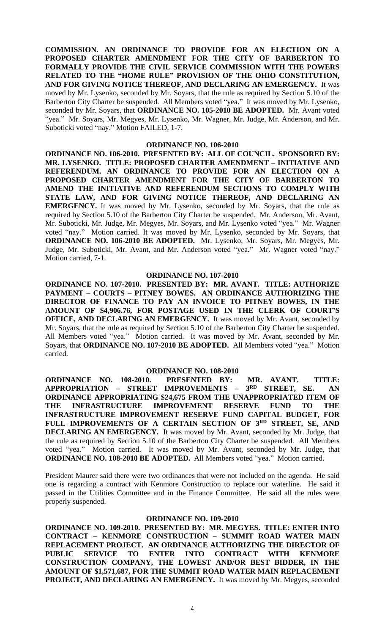**COMMISSION. AN ORDINANCE TO PROVIDE FOR AN ELECTION ON A PROPOSED CHARTER AMENDMENT FOR THE CITY OF BARBERTON TO FORMALLY PROVIDE THE CIVIL SERVICE COMMISSION WITH THE POWERS RELATED TO THE "HOME RULE" PROVISION OF THE OHIO CONSTITUTION, AND FOR GIVING NOTICE THEREOF, AND DECLARING AN EMERGENCY.** It was moved by Mr. Lysenko, seconded by Mr. Soyars, that the rule as required by Section 5.10 of the Barberton City Charter be suspended. All Members voted "yea." It was moved by Mr. Lysenko, seconded by Mr. Soyars, that **ORDINANCE NO. 105-2010 BE ADOPTED.** Mr. Avant voted "yea." Mr. Soyars, Mr. Megyes, Mr. Lysenko, Mr. Wagner, Mr. Judge, Mr. Anderson, and Mr. Suboticki voted "nay." Motion FAILED, 1-7.

#### **ORDINANCE NO. 106-2010**

**ORDINANCE NO. 106-2010. PRESENTED BY: ALL OF COUNCIL. SPONSORED BY: MR. LYSENKO. TITLE: PROPOSED CHARTER AMENDMENT – INITIATIVE AND REFERENDUM. AN ORDINANCE TO PROVIDE FOR AN ELECTION ON A PROPOSED CHARTER AMENDMENT FOR THE CITY OF BARBERTON TO AMEND THE INITIATIVE AND REFERENDUM SECTIONS TO COMPLY WITH STATE LAW, AND FOR GIVING NOTICE THEREOF, AND DECLARING AN EMERGENCY.** It was moved by Mr. Lysenko, seconded by Mr. Soyars, that the rule as required by Section 5.10 of the Barberton City Charter be suspended. Mr. Anderson, Mr. Avant, Mr. Suboticki, Mr. Judge, Mr. Megyes, Mr. Soyars, and Mr. Lysenko voted "yea." Mr. Wagner voted "nay." Motion carried. It was moved by Mr. Lysenko, seconded by Mr. Soyars, that **ORDINANCE NO. 106-2010 BE ADOPTED.** Mr. Lysenko, Mr. Soyars, Mr. Megyes, Mr. Judge, Mr. Suboticki, Mr. Avant, and Mr. Anderson voted "yea." Mr. Wagner voted "nay." Motion carried, 7-1.

### **ORDINANCE NO. 107-2010**

**ORDINANCE NO. 107-2010. PRESENTED BY: MR. AVANT. TITLE: AUTHORIZE PAYMENT – COURTS – PITNEY BOWES. AN ORDINANCE AUTHORIZING THE DIRECTOR OF FINANCE TO PAY AN INVOICE TO PITNEY BOWES, IN THE AMOUNT OF \$4,906.76, FOR POSTAGE USED IN THE CLERK OF COURT'S OFFICE, AND DECLARING AN EMERGENCY.** It was moved by Mr. Avant, seconded by Mr. Soyars, that the rule as required by Section 5.10 of the Barberton City Charter be suspended. All Members voted "yea." Motion carried. It was moved by Mr. Avant, seconded by Mr. Soyars, that **ORDINANCE NO. 107-2010 BE ADOPTED.** All Members voted "yea." Motion carried.

## **ORDINANCE NO. 108-2010**

**ORDINANCE NO. 108-2010. PRESENTED BY: MR. AVANT. TITLE: APPROPRIATION – STREET IMPROVEMENTS – 3 RD STREET, SE. AN ORDINANCE APPROPRIATING \$24,675 FROM THE UNAPPROPRIATED ITEM OF THE INFRASTRUCTURE IMPROVEMENT RESERVE FUND TO THE INFRASTRUCTURE IMPROVEMENT RESERVE FUND CAPITAL BUDGET, FOR FULL IMPROVEMENTS OF A CERTAIN SECTION OF 3 RD STREET, SE, AND DECLARING AN EMERGENCY.** It was moved by Mr. Avant, seconded by Mr. Judge, that the rule as required by Section 5.10 of the Barberton City Charter be suspended. All Members voted "yea." Motion carried. It was moved by Mr. Avant, seconded by Mr. Judge, that **ORDINANCE NO. 108-2010 BE ADOPTED.** All Members voted "yea." Motion carried.

President Maurer said there were two ordinances that were not included on the agenda. He said one is regarding a contract with Kenmore Construction to replace our waterline. He said it passed in the Utilities Committee and in the Finance Committee. He said all the rules were properly suspended.

#### **ORDINANCE NO. 109-2010**

**ORDINANCE NO. 109-2010. PRESENTED BY: MR. MEGYES. TITLE: ENTER INTO CONTRACT – KENMORE CONSTRUCTION – SUMMIT ROAD WATER MAIN REPLACEMENT PROJECT. AN ORDINANCE AUTHORIZING THE DIRECTOR OF PUBLIC SERVICE TO ENTER INTO CONTRACT WITH KENMORE CONSTRUCTION COMPANY, THE LOWEST AND/OR BEST BIDDER, IN THE AMOUNT OF \$1,571,687, FOR THE SUMMIT ROAD WATER MAIN REPLACEMENT PROJECT, AND DECLARING AN EMERGENCY.** It was moved by Mr. Megyes, seconded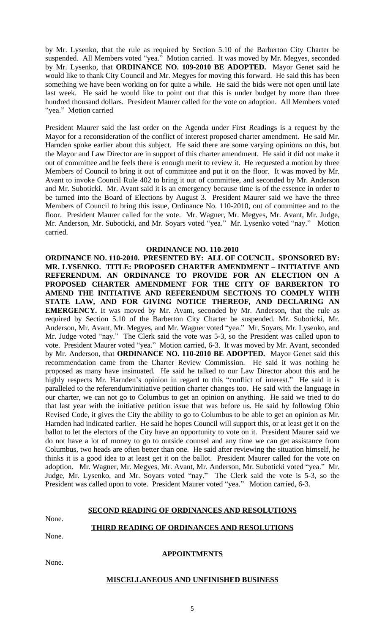by Mr. Lysenko, that the rule as required by Section 5.10 of the Barberton City Charter be suspended. All Members voted "yea." Motion carried. It was moved by Mr. Megyes, seconded by Mr. Lysenko, that **ORDINANCE NO. 109-2010 BE ADOPTED.** Mayor Genet said he would like to thank City Council and Mr. Megyes for moving this forward. He said this has been something we have been working on for quite a while. He said the bids were not open until late last week. He said he would like to point out that this is under budget by more than three hundred thousand dollars. President Maurer called for the vote on adoption. All Members voted "yea." Motion carried

President Maurer said the last order on the Agenda under First Readings is a request by the Mayor for a reconsideration of the conflict of interest proposed charter amendment. He said Mr. Harnden spoke earlier about this subject. He said there are some varying opinions on this, but the Mayor and Law Director are in support of this charter amendment. He said it did not make it out of committee and he feels there is enough merit to review it. He requested a motion by three Members of Council to bring it out of committee and put it on the floor. It was moved by Mr. Avant to invoke Council Rule 402 to bring it out of committee, and seconded by Mr. Anderson and Mr. Suboticki. Mr. Avant said it is an emergency because time is of the essence in order to be turned into the Board of Elections by August 3. President Maurer said we have the three Members of Council to bring this issue, Ordinance No. 110-2010, out of committee and to the floor. President Maurer called for the vote. Mr. Wagner, Mr. Megyes, Mr. Avant, Mr. Judge, Mr. Anderson, Mr. Suboticki, and Mr. Soyars voted "yea." Mr. Lysenko voted "nay." Motion carried.

## **ORDINANCE NO. 110-2010**

**ORDINANCE NO. 110-2010. PRESENTED BY: ALL OF COUNCIL. SPONSORED BY: MR. LYSENKO. TITLE: PROPOSED CHARTER AMENDMENT – INITIATIVE AND REFERENDUM. AN ORDINANCE TO PROVIDE FOR AN ELECTION ON A PROPOSED CHARTER AMENDMENT FOR THE CITY OF BARBERTON TO AMEND THE INITIATIVE AND REFERENDUM SECTIONS TO COMPLY WITH STATE LAW, AND FOR GIVING NOTICE THEREOF, AND DECLARING AN EMERGENCY.** It was moved by Mr. Avant, seconded by Mr. Anderson, that the rule as required by Section 5.10 of the Barberton City Charter be suspended. Mr. Suboticki, Mr. Anderson, Mr. Avant, Mr. Megyes, and Mr. Wagner voted "yea." Mr. Soyars, Mr. Lysenko, and Mr. Judge voted "nay." The Clerk said the vote was 5-3, so the President was called upon to vote. President Maurer voted "yea." Motion carried, 6-3. It was moved by Mr. Avant, seconded by Mr. Anderson, that **ORDINANCE NO. 110-2010 BE ADOPTED.** Mayor Genet said this recommendation came from the Charter Review Commission. He said it was nothing he proposed as many have insinuated. He said he talked to our Law Director about this and he highly respects Mr. Harnden's opinion in regard to this "conflict of interest." He said it is paralleled to the referendum/initiative petition charter changes too. He said with the language in our charter, we can not go to Columbus to get an opinion on anything. He said we tried to do that last year with the initiative petition issue that was before us. He said by following Ohio Revised Code, it gives the City the ability to go to Columbus to be able to get an opinion as Mr. Harnden had indicated earlier. He said he hopes Council will support this, or at least get it on the ballot to let the electors of the City have an opportunity to vote on it. President Maurer said we do not have a lot of money to go to outside counsel and any time we can get assistance from Columbus, two heads are often better than one. He said after reviewing the situation himself, he thinks it is a good idea to at least get it on the ballot. President Maurer called for the vote on adoption. Mr. Wagner, Mr. Megyes, Mr. Avant, Mr. Anderson, Mr. Suboticki voted "yea." Mr. Judge, Mr. Lysenko, and Mr. Soyars voted "nay." The Clerk said the vote is 5-3, so the President was called upon to vote. President Maurer voted "yea." Motion carried, 6-3.

#### **SECOND READING OF ORDINANCES AND RESOLUTIONS**

None.

## **THIRD READING OF ORDINANCES AND RESOLUTIONS**

None.

None.

## **APPOINTMENTS**

## **MISCELLANEOUS AND UNFINISHED BUSINESS**